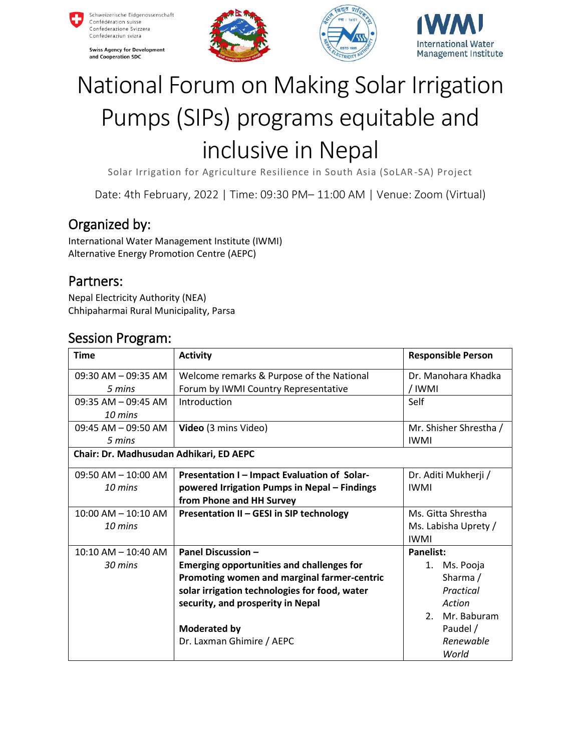

**Swiss Agency for Development** and Cooperation SDC







# National Forum on Making Solar Irrigation Pumps (SIPs) programs equitable and inclusive in Nepal

Solar Irrigation for Agriculture Resilience in South Asia (SoLAR -SA) Project

Date: 4th February, 2022 | Time: 09:30 PM– 11:00 AM | Venue: Zoom (Virtual)

## Organized by:

International Water Management Institute (IWMI) Alternative Energy Promotion Centre (AEPC)

#### Partners:

Nepal Electricity Authority (NEA) Chhipaharmai Rural Municipality, Parsa

#### Session Program:

| <b>Time</b>                             | <b>Activity</b>                                  | <b>Responsible Person</b> |  |  |
|-----------------------------------------|--------------------------------------------------|---------------------------|--|--|
| $09:30$ AM $-09:35$ AM                  | Welcome remarks & Purpose of the National        | Dr. Manohara Khadka       |  |  |
| 5 mins                                  | Forum by IWMI Country Representative             | / IWMI                    |  |  |
| $09:35 AM - 09:45 AM$                   | Introduction                                     | Self                      |  |  |
| 10 mins                                 |                                                  |                           |  |  |
| $09:45$ AM $-09:50$ AM                  | Video (3 mins Video)                             | Mr. Shisher Shrestha /    |  |  |
| 5 mins                                  |                                                  | <b>IWMI</b>               |  |  |
| Chair: Dr. Madhusudan Adhikari, ED AEPC |                                                  |                           |  |  |
| $09:50$ AM $- 10:00$ AM                 | Presentation I - Impact Evaluation of Solar-     | Dr. Aditi Mukherji /      |  |  |
| 10 mins                                 | powered Irrigation Pumps in Nepal - Findings     | <b>IWMI</b>               |  |  |
|                                         | from Phone and HH Survey                         |                           |  |  |
| $10:00$ AM $- 10:10$ AM                 | Presentation II - GESI in SIP technology         | Ms. Gitta Shrestha        |  |  |
| 10 mins                                 |                                                  | Ms. Labisha Uprety /      |  |  |
|                                         |                                                  | <b>IWMI</b>               |  |  |
| $10:10$ AM $- 10:40$ AM                 | <b>Panel Discussion -</b>                        | Panelist:                 |  |  |
| 30 mins                                 | <b>Emerging opportunities and challenges for</b> | 1. Ms. Pooja              |  |  |
|                                         | Promoting women and marginal farmer-centric      | Sharma /                  |  |  |
|                                         | solar irrigation technologies for food, water    | Practical                 |  |  |
|                                         | security, and prosperity in Nepal                | Action                    |  |  |
|                                         |                                                  | Mr. Baburam<br>2.         |  |  |
|                                         | Moderated by                                     | Paudel /                  |  |  |
|                                         | Dr. Laxman Ghimire / AEPC                        | Renewable                 |  |  |
|                                         |                                                  | World                     |  |  |